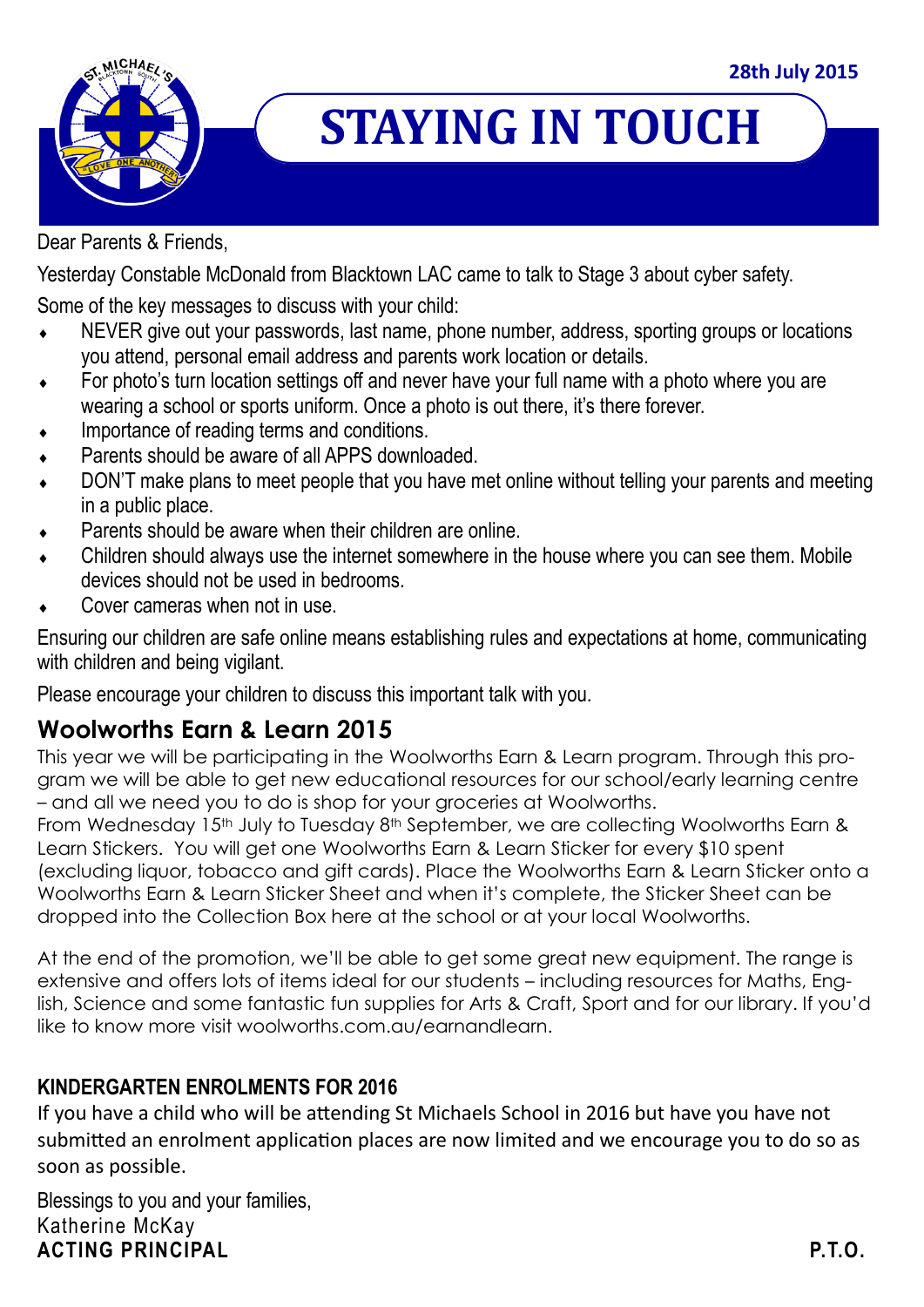

# **STAYING IN TOUCH**

Dear Parents & Friends,

Yesterday Constable McDonald from Blacktown LAC came to talk to Stage 3 about cyber safety.

Some of the key messages to discuss with your child:

- NEVER give out your passwords, last name, phone number, address, sporting groups or locations you attend, personal email address and parents work location or details.
- For photo's turn location settings off and never have your full name with a photo where you are wearing a school or sports uniform. Once a photo is out there, it's there forever.
- Importance of reading terms and conditions.
- Parents should be aware of all APPS downloaded.
- DON'T make plans to meet people that you have met online without telling your parents and meeting in a public place.
- Parents should be aware when their children are online.
- Children should always use the internet somewhere in the house where you can see them. Mobile devices should not be used in bedrooms.
- Cover cameras when not in use.

Ensuring our children are safe online means establishing rules and expectations at home, communicating with children and being vigilant.

Please encourage your children to discuss this important talk with you.

## **Woolworths Earn & Learn 2015**

This year we will be participating in the Woolworths Earn & Learn program. Through this program we will be able to get new educational resources for our school/early learning centre – and all we need you to do is shop for your groceries at Woolworths.

From Wednesday 15<sup>th</sup> July to Tuesday 8<sup>th</sup> September, we are collecting Woolworths Earn & Learn Stickers. You will get one Woolworths Earn & Learn Sticker for every \$10 spent (excluding liquor, tobacco and gift cards). Place the Woolworths Earn & Learn Sticker onto a Woolworths Earn & Learn Sticker Sheet and when it's complete, the Sticker Sheet can be dropped into the Collection Box here at the school or at your local Woolworths.

At the end of the promotion, we'll be able to get some great new equipment. The range is extensive and offers lots of items ideal for our students – including resources for Maths, English, Science and some fantastic fun supplies for Arts & Craft, Sport and for our library. If you'd like to know more visit woolworths.com.au/earnandlearn.

### **KINDERGARTEN ENROLMENTS FOR 2016**

If you have a child who will be attending St Michaels School in 2016 but have you have not submitted an enrolment application places are now limited and we encourage you to do so as soon as possible.

Blessings to you and your families, Katherine McKay **ACTING PRINCIPAL P.T.O.**